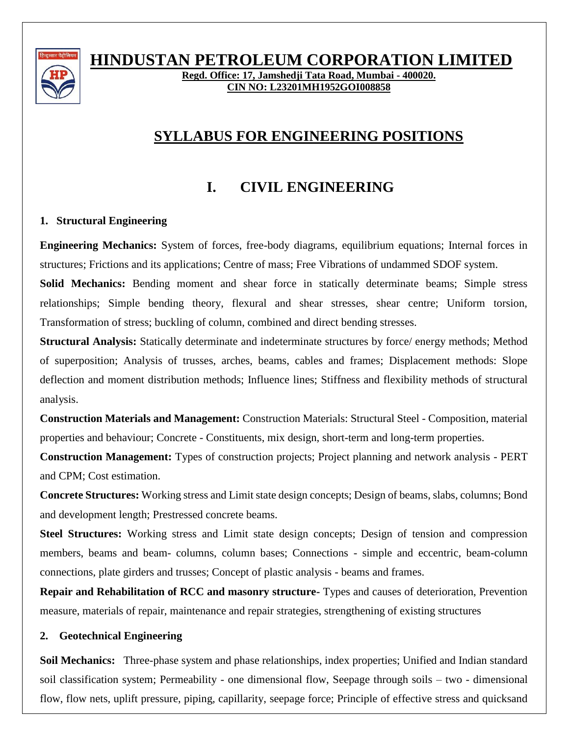

# **HINDUSTAN PETROLEUM CORPORATION LIMITED**

**Regd. Office: 17, Jamshedji Tata Road, Mumbai - 400020. CIN NO: L23201MH1952GOI008858**

# **SYLLABUS FOR ENGINEERING POSITIONS**

# **I. CIVIL ENGINEERING**

## **1. Structural Engineering**

**Engineering Mechanics:** System of forces, free-body diagrams, equilibrium equations; Internal forces in structures; Frictions and its applications; Centre of mass; Free Vibrations of undammed SDOF system.

**Solid Mechanics:** Bending moment and shear force in statically determinate beams; Simple stress relationships; Simple bending theory, flexural and shear stresses, shear centre; Uniform torsion, Transformation of stress; buckling of column, combined and direct bending stresses.

**Structural Analysis:** Statically determinate and indeterminate structures by force/ energy methods; Method of superposition; Analysis of trusses, arches, beams, cables and frames; Displacement methods: Slope deflection and moment distribution methods; Influence lines; Stiffness and flexibility methods of structural analysis.

**Construction Materials and Management:** Construction Materials: Structural Steel - Composition, material properties and behaviour; Concrete - Constituents, mix design, short-term and long-term properties.

**Construction Management:** Types of construction projects; Project planning and network analysis - PERT and CPM; Cost estimation.

**Concrete Structures:** Working stress and Limit state design concepts; Design of beams, slabs, columns; Bond and development length; Prestressed concrete beams.

**Steel Structures:** Working stress and Limit state design concepts; Design of tension and compression members, beams and beam- columns, column bases; Connections - simple and eccentric, beam-column connections, plate girders and trusses; Concept of plastic analysis - beams and frames.

**Repair and Rehabilitation of RCC and masonry structure-** Types and causes of deterioration, Prevention measure, materials of repair, maintenance and repair strategies, strengthening of existing structures

## **2. Geotechnical Engineering**

**Soil Mechanics:** Three-phase system and phase relationships, index properties; Unified and Indian standard soil classification system; Permeability - one dimensional flow, Seepage through soils – two - dimensional flow, flow nets, uplift pressure, piping, capillarity, seepage force; Principle of effective stress and quicksand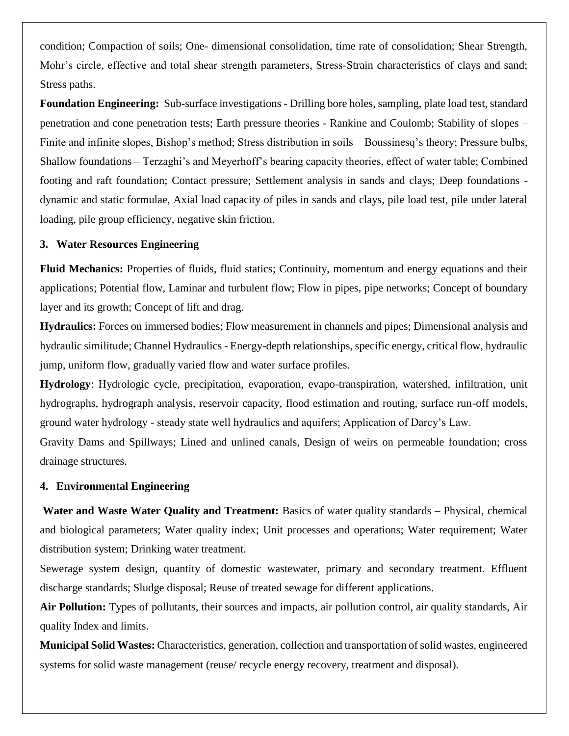condition; Compaction of soils; One- dimensional consolidation, time rate of consolidation; Shear Strength, Mohr's circle, effective and total shear strength parameters, Stress-Strain characteristics of clays and sand; Stress paths.

**Foundation Engineering:** Sub-surface investigations - Drilling bore holes, sampling, plate load test, standard penetration and cone penetration tests; Earth pressure theories - Rankine and Coulomb; Stability of slopes – Finite and infinite slopes, Bishop's method; Stress distribution in soils – Boussinesq's theory; Pressure bulbs, Shallow foundations – Terzaghi's and Meyerhoff's bearing capacity theories, effect of water table; Combined footing and raft foundation; Contact pressure; Settlement analysis in sands and clays; Deep foundations dynamic and static formulae, Axial load capacity of piles in sands and clays, pile load test, pile under lateral loading, pile group efficiency, negative skin friction.

### **3. Water Resources Engineering**

**Fluid Mechanics:** Properties of fluids, fluid statics; Continuity, momentum and energy equations and their applications; Potential flow, Laminar and turbulent flow; Flow in pipes, pipe networks; Concept of boundary layer and its growth; Concept of lift and drag.

**Hydraulics:** Forces on immersed bodies; Flow measurement in channels and pipes; Dimensional analysis and hydraulic similitude; Channel Hydraulics - Energy-depth relationships, specific energy, critical flow, hydraulic jump, uniform flow, gradually varied flow and water surface profiles.

**Hydrology**: Hydrologic cycle, precipitation, evaporation, evapo-transpiration, watershed, infiltration, unit hydrographs, hydrograph analysis, reservoir capacity, flood estimation and routing, surface run-off models, ground water hydrology - steady state well hydraulics and aquifers; Application of Darcy's Law.

Gravity Dams and Spillways; Lined and unlined canals, Design of weirs on permeable foundation; cross drainage structures.

#### **4. Environmental Engineering**

**Water and Waste Water Quality and Treatment:** Basics of water quality standards – Physical, chemical and biological parameters; Water quality index; Unit processes and operations; Water requirement; Water distribution system; Drinking water treatment.

Sewerage system design, quantity of domestic wastewater, primary and secondary treatment. Effluent discharge standards; Sludge disposal; Reuse of treated sewage for different applications.

**Air Pollution:** Types of pollutants, their sources and impacts, air pollution control, air quality standards, Air quality Index and limits.

**Municipal Solid Wastes:** Characteristics, generation, collection and transportation of solid wastes, engineered systems for solid waste management (reuse/ recycle energy recovery, treatment and disposal).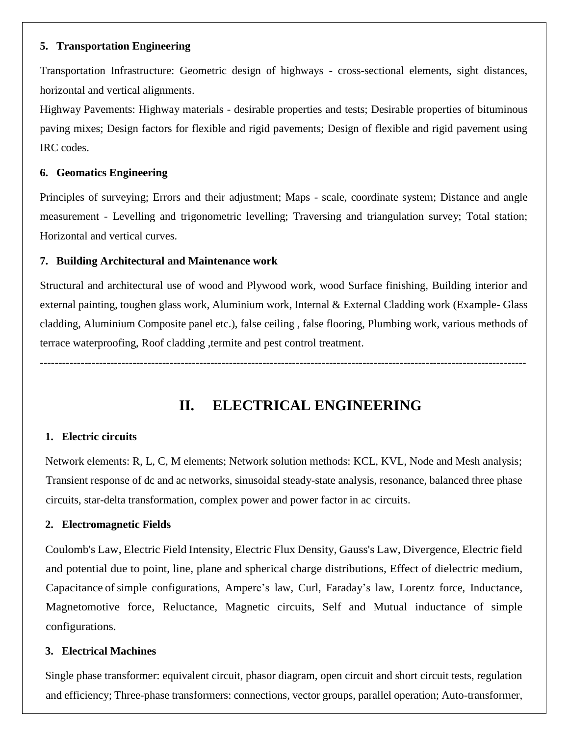### **5. Transportation Engineering**

Transportation Infrastructure: Geometric design of highways - cross-sectional elements, sight distances, horizontal and vertical alignments.

Highway Pavements: Highway materials - desirable properties and tests; Desirable properties of bituminous paving mixes; Design factors for flexible and rigid pavements; Design of flexible and rigid pavement using IRC codes.

### **6. Geomatics Engineering**

Principles of surveying; Errors and their adjustment; Maps - scale, coordinate system; Distance and angle measurement - Levelling and trigonometric levelling; Traversing and triangulation survey; Total station; Horizontal and vertical curves.

## **7. Building Architectural and Maintenance work**

Structural and architectural use of wood and Plywood work, wood Surface finishing, Building interior and external painting, toughen glass work, Aluminium work, Internal & External Cladding work (Example- Glass cladding, Aluminium Composite panel etc.), false ceiling , false flooring, Plumbing work, various methods of terrace waterproofing, Roof cladding ,termite and pest control treatment.

-----------------------------------------------------------------------------------------------------------------------------------

**II. ELECTRICAL ENGINEERING**

## **1. Electric circuits**

Network elements: R, L, C, M elements; Network solution methods: KCL, KVL, Node and Mesh analysis; Transient response of dc and ac networks, sinusoidal steady-state analysis, resonance, balanced three phase circuits, star-delta transformation, complex power and power factor in ac circuits.

## **2. Electromagnetic Fields**

Coulomb's Law, Electric Field Intensity, Electric Flux Density, Gauss's Law, Divergence, Electric field and potential due to point, line, plane and spherical charge distributions, Effect of dielectric medium, Capacitance of simple configurations, Ampere's law, Curl, Faraday's law, Lorentz force, Inductance, Magnetomotive force, Reluctance, Magnetic circuits, Self and Mutual inductance of simple configurations.

## **3. Electrical Machines**

Single phase transformer: equivalent circuit, phasor diagram, open circuit and short circuit tests, regulation and efficiency; Three-phase transformers: connections, vector groups, parallel operation; Auto-transformer,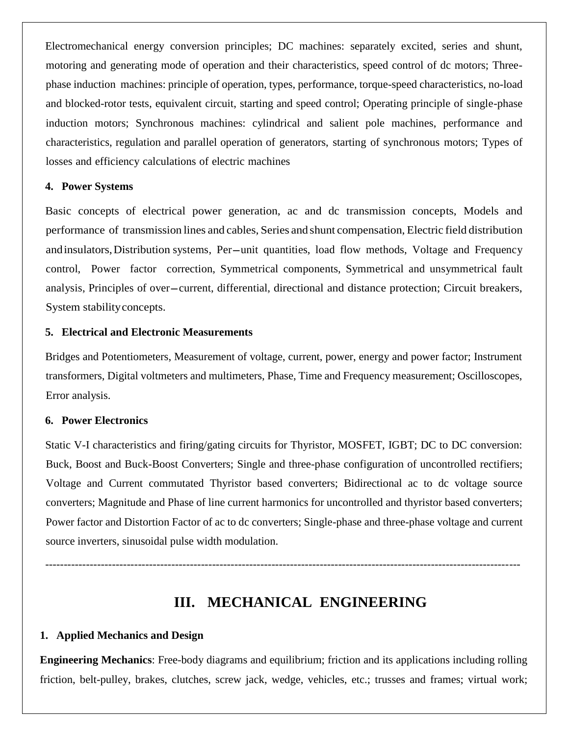Electromechanical energy conversion principles; DC machines: separately excited, series and shunt, motoring and generating mode of operation and their characteristics, speed control of dc motors; Threephase induction machines: principle of operation, types, performance, torque-speed characteristics, no-load and blocked-rotor tests, equivalent circuit, starting and speed control; Operating principle of single-phase induction motors; Synchronous machines: cylindrical and salient pole machines, performance and characteristics, regulation and parallel operation of generators, starting of synchronous motors; Types of losses and efficiency calculations of electric machines

### **4. Power Systems**

Basic concepts of electrical power generation, ac and dc transmission concepts, Models and performance of transmission lines and cables, Series and shunt compensation, Electric field distribution andinsulators, Distribution systems, Per-unit quantities, load flow methods, Voltage and Frequency control, Power factor correction, Symmetrical components, Symmetrical and unsymmetrical fault analysis, Principles of over–current, differential, directional and distance protection; Circuit breakers, System stabilityconcepts.

### **5. Electrical and Electronic Measurements**

Bridges and Potentiometers, Measurement of voltage, current, power, energy and power factor; Instrument transformers, Digital voltmeters and multimeters, Phase, Time and Frequency measurement; Oscilloscopes, Error analysis.

### **6. Power Electronics**

Static V-I characteristics and firing/gating circuits for Thyristor, MOSFET, IGBT; DC to DC conversion: Buck, Boost and Buck-Boost Converters; Single and three-phase configuration of uncontrolled rectifiers; Voltage and Current commutated Thyristor based converters; Bidirectional ac to dc voltage source converters; Magnitude and Phase of line current harmonics for uncontrolled and thyristor based converters; Power factor and Distortion Factor of ac to dc converters; Single-phase and three-phase voltage and current source inverters, sinusoidal pulse width modulation.

--------------------------------------------------------------------------------------------------------------------------------

# **III. MECHANICAL ENGINEERING**

## **1. Applied Mechanics and Design**

**Engineering Mechanics**: Free-body diagrams and equilibrium; friction and its applications including rolling friction, belt-pulley, brakes, clutches, screw jack, wedge, vehicles, etc.; trusses and frames; virtual work;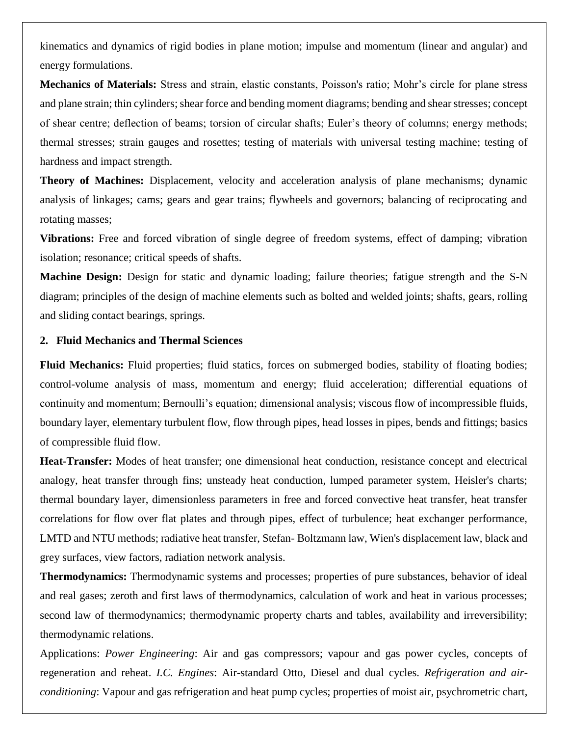kinematics and dynamics of rigid bodies in plane motion; impulse and momentum (linear and angular) and energy formulations.

**Mechanics of Materials:** Stress and strain, elastic constants, Poisson's ratio; Mohr's circle for plane stress and plane strain; thin cylinders; shear force and bending moment diagrams; bending and shear stresses; concept of shear centre; deflection of beams; torsion of circular shafts; Euler's theory of columns; energy methods; thermal stresses; strain gauges and rosettes; testing of materials with universal testing machine; testing of hardness and impact strength.

**Theory of Machines:** Displacement, velocity and acceleration analysis of plane mechanisms; dynamic analysis of linkages; cams; gears and gear trains; flywheels and governors; balancing of reciprocating and rotating masses;

**Vibrations:** Free and forced vibration of single degree of freedom systems, effect of damping; vibration isolation; resonance; critical speeds of shafts.

**Machine Design:** Design for static and dynamic loading; failure theories; fatigue strength and the S-N diagram; principles of the design of machine elements such as bolted and welded joints; shafts, gears, rolling and sliding contact bearings, springs.

### **2. Fluid Mechanics and Thermal Sciences**

**Fluid Mechanics:** Fluid properties; fluid statics, forces on submerged bodies, stability of floating bodies; control-volume analysis of mass, momentum and energy; fluid acceleration; differential equations of continuity and momentum; Bernoulli's equation; dimensional analysis; viscous flow of incompressible fluids, boundary layer, elementary turbulent flow, flow through pipes, head losses in pipes, bends and fittings; basics of compressible fluid flow.

**Heat-Transfer:** Modes of heat transfer; one dimensional heat conduction, resistance concept and electrical analogy, heat transfer through fins; unsteady heat conduction, lumped parameter system, Heisler's charts; thermal boundary layer, dimensionless parameters in free and forced convective heat transfer, heat transfer correlations for flow over flat plates and through pipes, effect of turbulence; heat exchanger performance, LMTD and NTU methods; radiative heat transfer, Stefan- Boltzmann law, Wien's displacement law, black and grey surfaces, view factors, radiation network analysis.

**Thermodynamics:** Thermodynamic systems and processes; properties of pure substances, behavior of ideal and real gases; zeroth and first laws of thermodynamics, calculation of work and heat in various processes; second law of thermodynamics; thermodynamic property charts and tables, availability and irreversibility; thermodynamic relations.

Applications: *Power Engineering*: Air and gas compressors; vapour and gas power cycles, concepts of regeneration and reheat. *I.C. Engines*: Air-standard Otto, Diesel and dual cycles. *Refrigeration and airconditioning*: Vapour and gas refrigeration and heat pump cycles; properties of moist air, psychrometric chart,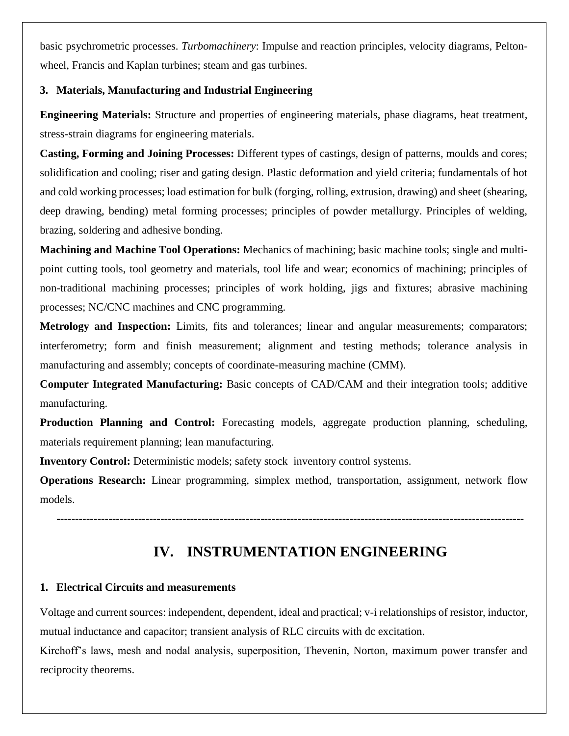basic psychrometric processes. *Turbomachinery*: Impulse and reaction principles, velocity diagrams, Peltonwheel, Francis and Kaplan turbines; steam and gas turbines.

## **3. Materials, Manufacturing and Industrial Engineering**

**Engineering Materials:** Structure and properties of engineering materials, phase diagrams, heat treatment, stress-strain diagrams for engineering materials.

**Casting, Forming and Joining Processes:** Different types of castings, design of patterns, moulds and cores; solidification and cooling; riser and gating design. Plastic deformation and yield criteria; fundamentals of hot and cold working processes; load estimation for bulk (forging, rolling, extrusion, drawing) and sheet (shearing, deep drawing, bending) metal forming processes; principles of powder metallurgy. Principles of welding, brazing, soldering and adhesive bonding.

**Machining and Machine Tool Operations:** Mechanics of machining; basic machine tools; single and multipoint cutting tools, tool geometry and materials, tool life and wear; economics of machining; principles of non-traditional machining processes; principles of work holding, jigs and fixtures; abrasive machining processes; NC/CNC machines and CNC programming.

**Metrology and Inspection:** Limits, fits and tolerances; linear and angular measurements; comparators; interferometry; form and finish measurement; alignment and testing methods; tolerance analysis in manufacturing and assembly; concepts of coordinate-measuring machine (CMM).

**Computer Integrated Manufacturing:** Basic concepts of CAD/CAM and their integration tools; additive manufacturing.

**Production Planning and Control:** Forecasting models, aggregate production planning, scheduling, materials requirement planning; lean manufacturing.

**Inventory Control:** Deterministic models; safety stock inventory control systems.

**Operations Research:** Linear programming, simplex method, transportation, assignment, network flow models.

**-**-----------------------------------------------------------------------------------------------------------------------------

## **IV. INSTRUMENTATION ENGINEERING**

## **1. Electrical Circuits and measurements**

Voltage and current sources: independent, dependent, ideal and practical; v-i relationships of resistor, inductor, mutual inductance and capacitor; transient analysis of RLC circuits with dc excitation.

Kirchoff's laws, mesh and nodal analysis, superposition, Thevenin, Norton, maximum power transfer and reciprocity theorems.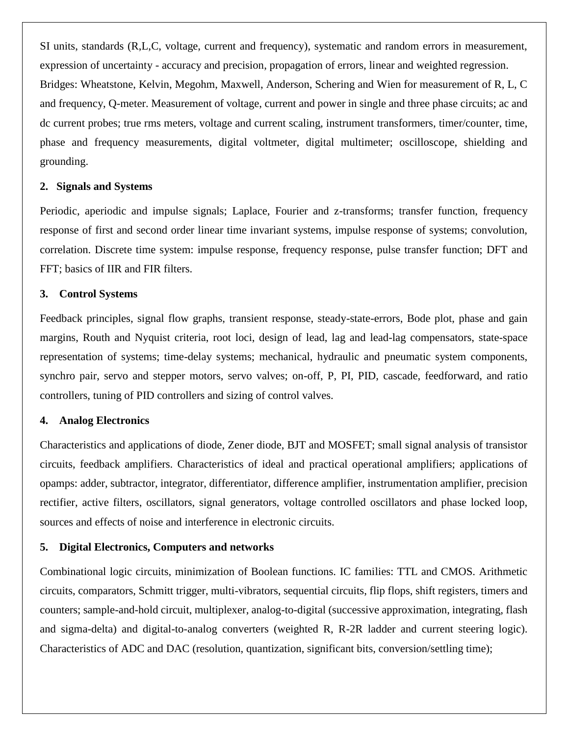SI units, standards (R,L,C, voltage, current and frequency), systematic and random errors in measurement, expression of uncertainty - accuracy and precision, propagation of errors, linear and weighted regression. Bridges: Wheatstone, Kelvin, Megohm, Maxwell, Anderson, Schering and Wien for measurement of R, L, C and frequency, Q-meter. Measurement of voltage, current and power in single and three phase circuits; ac and dc current probes; true rms meters, voltage and current scaling, instrument transformers, timer/counter, time, phase and frequency measurements, digital voltmeter, digital multimeter; oscilloscope, shielding and grounding.

#### **2. Signals and Systems**

Periodic, aperiodic and impulse signals; Laplace, Fourier and z-transforms; transfer function, frequency response of first and second order linear time invariant systems, impulse response of systems; convolution, correlation. Discrete time system: impulse response, frequency response, pulse transfer function; DFT and FFT; basics of IIR and FIR filters.

#### **3. Control Systems**

Feedback principles, signal flow graphs, transient response, steady-state-errors, Bode plot, phase and gain margins, Routh and Nyquist criteria, root loci, design of lead, lag and lead-lag compensators, state-space representation of systems; time-delay systems; mechanical, hydraulic and pneumatic system components, synchro pair, servo and stepper motors, servo valves; on-off, P, PI, PID, cascade, feedforward, and ratio controllers, tuning of PID controllers and sizing of control valves.

#### **4. Analog Electronics**

Characteristics and applications of diode, Zener diode, BJT and MOSFET; small signal analysis of transistor circuits, feedback amplifiers. Characteristics of ideal and practical operational amplifiers; applications of opamps: adder, subtractor, integrator, differentiator, difference amplifier, instrumentation amplifier, precision rectifier, active filters, oscillators, signal generators, voltage controlled oscillators and phase locked loop, sources and effects of noise and interference in electronic circuits.

### **5. Digital Electronics, Computers and networks**

Combinational logic circuits, minimization of Boolean functions. IC families: TTL and CMOS. Arithmetic circuits, comparators, Schmitt trigger, multi-vibrators, sequential circuits, flip flops, shift registers, timers and counters; sample-and-hold circuit, multiplexer, analog-to-digital (successive approximation, integrating, flash and sigma-delta) and digital-to-analog converters (weighted R, R-2R ladder and current steering logic). Characteristics of ADC and DAC (resolution, quantization, significant bits, conversion/settling time);